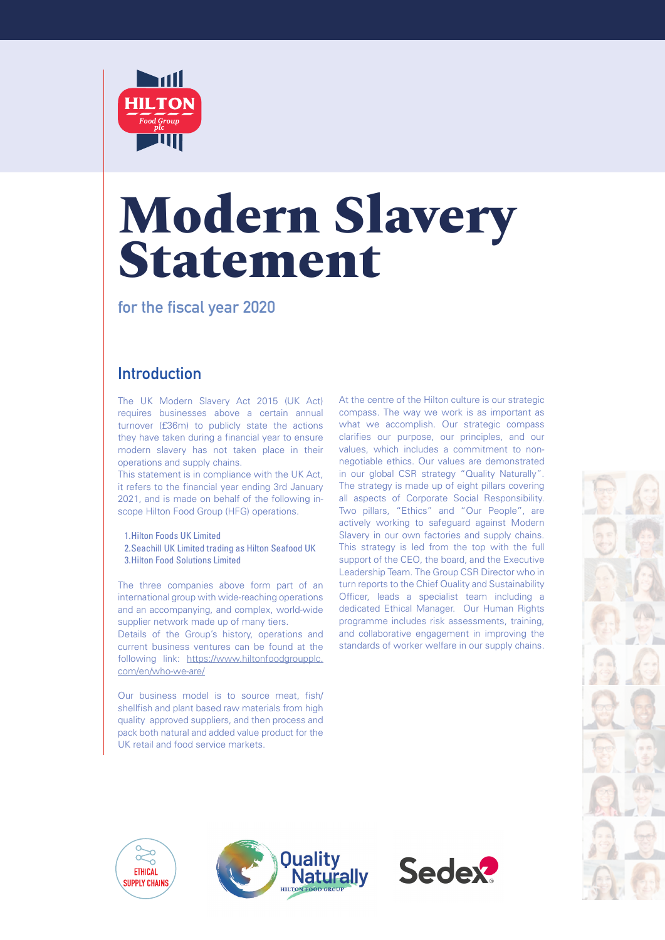

# **Modern Slavery Statement**

**for the fiscal year 2020** 

### **Introduction**

The UK Modern Slavery Act 2015 (UK Act) requires businesses above a certain annual turnover (£36m) to publicly state the actions they have taken during a financial year to ensure modern slavery has not taken place in their operations and supply chains.

This statement is in compliance with the UK Act, it refers to the financial year ending 3rd January 2021, and is made on behalf of the following inscope Hilton Food Group (HFG) operations.

1.Hilton Foods UK Limited 2.Seachill UK Limited trading as Hilton Seafood UK 3.Hilton Food Solutions Limited

The three companies above form part of an international group with wide-reaching operations and an accompanying, and complex, world-wide supplier network made up of many tiers.

Details of the Group's history, operations and current business ventures can be found at the following link: [https://www.hiltonfoodgroupplc.](https://www.hiltonfoodgroupplc.com/en/who-we-are/) [com/en/who-we-are/](https://www.hiltonfoodgroupplc.com/en/who-we-are/)

Our business model is to source meat, fish/ shellfish and plant based raw materials from high quality approved suppliers, and then process and pack both natural and added value product for the UK retail and food service markets.

At the centre of the Hilton culture is our strategic compass. The way we work is as important as what we accomplish. Our strategic compass clarifies our purpose, our principles, and our values, which includes a commitment to nonnegotiable ethics. Our values are demonstrated in our global CSR strategy "Quality Naturally". The strategy is made up of eight pillars covering all aspects of Corporate Social Responsibility. Two pillars, "Ethics" and "Our People", are actively working to safeguard against Modern Slavery in our own factories and supply chains. This strategy is led from the top with the full support of the CEO, the board, and the Executive Leadership Team. The Group CSR Director who in turn reports to the Chief Quality and Sustainability Officer, leads a specialist team including a dedicated Ethical Manager. Our Human Rights programme includes risk assessments, training, and collaborative engagement in improving the standards of worker welfare in our supply chains.







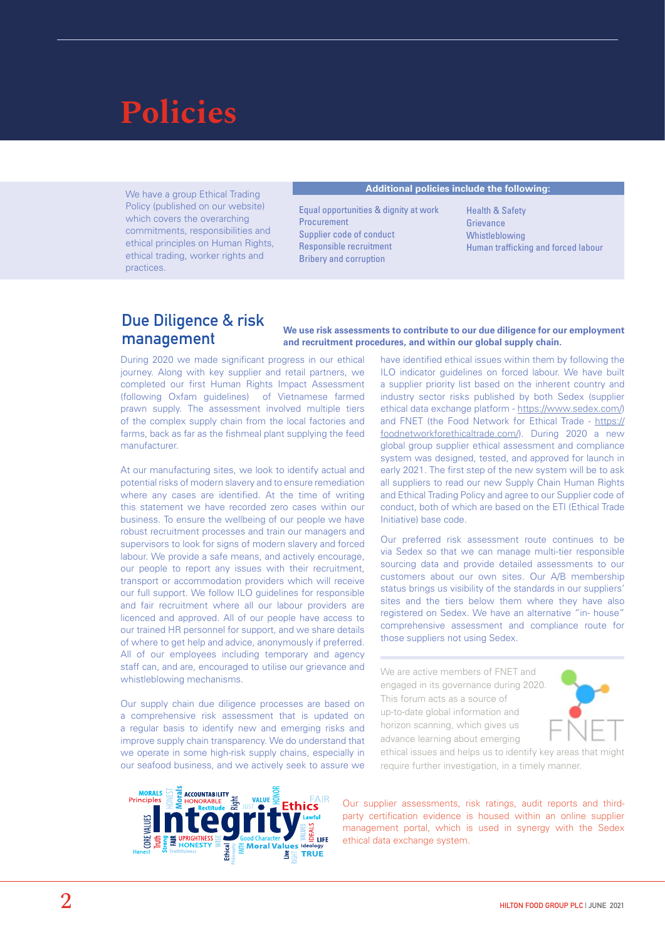# **Policies**

We have a group Ethical Trading Policy (published on our website) which covers the overarching commitments, responsibilities and ethical principles on Human Rights, ethical trading, worker rights and practices.

#### Additional policies include the following:

Equal opportunities & dignity at work Procurement Supplier code of conduct Responsible recruitment Bribery and corruption

Health & Safety **Grievance** Whistleblowing Human trafficking and forced labour

#### **Due Diligence & risk management**

#### We use risk assessments to contribute to our due diligence for our employment and recruitment procedures, and within our global supply chain.

During 2020 we made significant progress in our ethical journey. Along with key supplier and retail partners, we completed our first Human Rights Impact Assessment (following Oxfam guidelines) of Vietnamese farmed prawn supply. The assessment involved multiple tiers of the complex supply chain from the local factories and farms, back as far as the fishmeal plant supplying the feed manufacturer.

At our manufacturing sites, we look to identify actual and potential risks of modern slavery and to ensure remediation where any cases are identified. At the time of writing this statement we have recorded zero cases within our business. To ensure the wellbeing of our people we have robust recruitment processes and train our managers and supervisors to look for signs of modern slavery and forced labour. We provide a safe means, and actively encourage, our people to report any issues with their recruitment, transport or accommodation providers which will receive our full support. We follow ILO guidelines for responsible and fair recruitment where all our labour providers are licenced and approved. All of our people have access to our trained HR personnel for support, and we share details of where to get help and advice, anonymously if preferred. All of our employees including temporary and agency staff can, and are, encouraged to utilise our grievance and whistleblowing mechanisms.

Our supply chain due diligence processes are based on a comprehensive risk assessment that is updated on a regular basis to identify new and emerging risks and improve supply chain transparency. We do understand that we operate in some high-risk supply chains, especially in our seafood business, and we actively seek to assure we



Our preferred risk assessment route continues to be via Sedex so that we can manage multi-tier responsible sourcing data and provide detailed assessments to our customers about our own sites. Our A/B membership status brings us visibility of the standards in our suppliers' sites and the tiers below them where they have also registered on Sedex. We have an alternative "in- house" comprehensive assessment and compliance route for those suppliers not using Sedex.

We are active members of FNET and engaged in its governance during 2020. This forum acts as a source of up-to-date global information and horizon scanning, which gives us advance learning about emerging



ethical issues and helps us to identify key areas that might require further investigation, in a timely manner.



Our supplier assessments, risk ratings, audit reports and thirdparty certification evidence is housed within an online supplier management portal, which is used in synergy with the Sedex ethical data exchange system.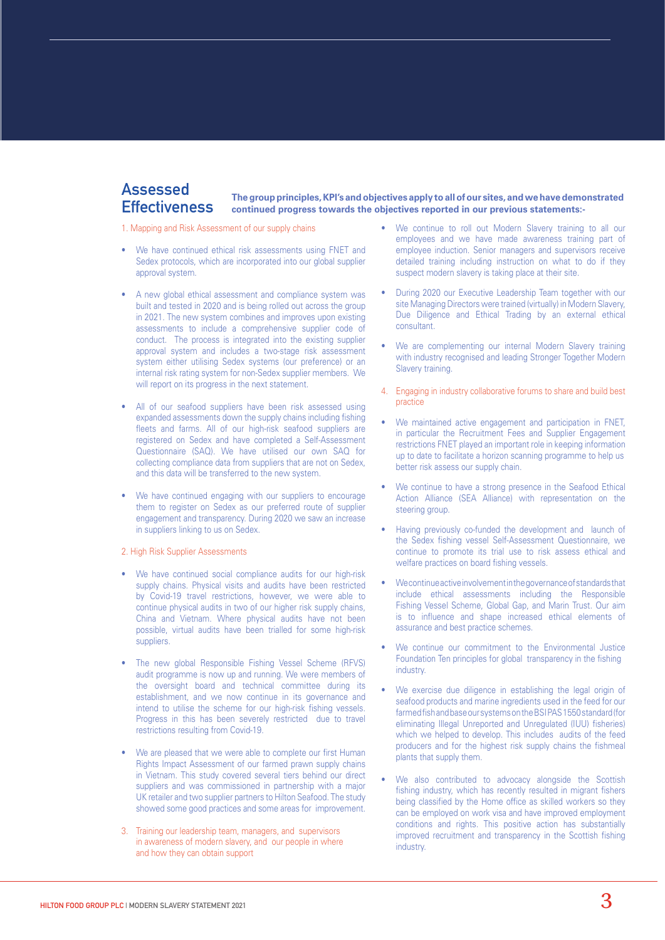#### **Assessed Effectiveness**

The group principles, KPI's and objectives apply to all of our sites, and we have demonstrated continued progress towards the objectives reported in our previous statements:-

1. Mapping and Risk Assessment of our supply chains

- We have continued ethical risk assessments using FNET and Sedex protocols, which are incorporated into our global supplier approval system.
- A new global ethical assessment and compliance system was built and tested in 2020 and is being rolled out across the group in 2021. The new system combines and improves upon existing assessments to include a comprehensive supplier code of conduct. The process is integrated into the existing supplier approval system and includes a two-stage risk assessment system either utilising Sedex systems (our preference) or an internal risk rating system for non-Sedex supplier members. We will report on its progress in the next statement.
- All of our seafood suppliers have been risk assessed using expanded assessments down the supply chains including fishing fleets and farms. All of our high-risk seafood suppliers are registered on Sedex and have completed a Self-Assessment Questionnaire (SAQ). We have utilised our own SAQ for collecting compliance data from suppliers that are not on Sedex, and this data will be transferred to the new system.
- We have continued engaging with our suppliers to encourage them to register on Sedex as our preferred route of supplier engagement and transparency. During 2020 we saw an increase in suppliers linking to us on Sedex.

#### 2. High Risk Supplier Assessments

- We have continued social compliance audits for our high-risk supply chains. Physical visits and audits have been restricted by Covid-19 travel restrictions, however, we were able to continue physical audits in two of our higher risk supply chains, China and Vietnam. Where physical audits have not been possible, virtual audits have been trialled for some high-risk suppliers.
- The new global Responsible Fishing Vessel Scheme (RFVS) audit programme is now up and running. We were members of the oversight board and technical committee during its establishment, and we now continue in its governance and intend to utilise the scheme for our high-risk fishing vessels. Progress in this has been severely restricted due to travel restrictions resulting from Covid-19.
- We are pleased that we were able to complete our first Human Rights Impact Assessment of our farmed prawn supply chains in Vietnam. This study covered several tiers behind our direct suppliers and was commissioned in partnership with a major UK retailer and two supplier partners to Hilton Seafood. The study showed some good practices and some areas for improvement.
- 3. Training our leadership team, managers, and supervisors in awareness of modern slavery, and our people in where and how they can obtain support
- We continue to roll out Modern Slavery training to all our employees and we have made awareness training part of employee induction. Senior managers and supervisors receive detailed training including instruction on what to do if they suspect modern slavery is taking place at their site.
- During 2020 our Executive Leadership Team together with our site Managing Directors were trained (virtually) in Modern Slavery, Due Diligence and Ethical Trading by an external ethical consultant.
- We are complementing our internal Modern Slavery training with industry recognised and leading Stronger Together Modern Slavery training.
- 4. Engaging in industry collaborative forums to share and build best practice
- We maintained active engagement and participation in FNET, in particular the Recruitment Fees and Supplier Engagement restrictions FNET played an important role in keeping information up to date to facilitate a horizon scanning programme to help us better risk assess our supply chain.
- We continue to have a strong presence in the Seafood Ethical Action Alliance (SEA Alliance) with representation on the steering group.
- Having previously co-funded the development and launch of the Sedex fishing vessel Self-Assessment Questionnaire, we continue to promote its trial use to risk assess ethical and welfare practices on board fishing vessels.
- We continue active involvement in the governance of standards that include ethical assessments including the Responsible Fishing Vessel Scheme, Global Gap, and Marin Trust. Our aim is to influence and shape increased ethical elements of assurance and best practice schemes.
- We continue our commitment to the Environmental Justice Foundation Ten principles for global transparency in the fishing industry.
- We exercise due diligence in establishing the legal origin of seafood products and marine ingredients used in the feed for our farmed fish and base our systems on the BSI PAS 1550 standard (for eliminating Illegal Unreported and Unregulated (IUU) fisheries) which we helped to develop. This includes audits of the feed producers and for the highest risk supply chains the fishmeal plants that supply them.
- We also contributed to advocacy alongside the Scottish fishing industry, which has recently resulted in migrant fishers being classified by the Home office as skilled workers so they can be employed on work visa and have improved employment conditions and rights. This positive action has substantially improved recruitment and transparency in the Scottish fishing industry.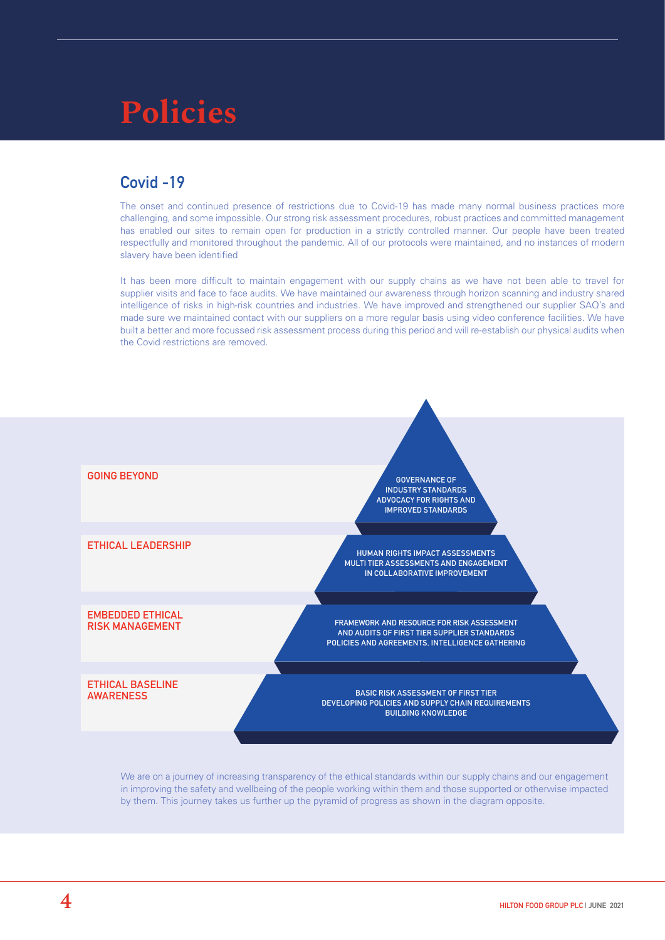# **Policies**

### **Covid -19**

The onset and continued presence of restrictions due to Covid-19 has made many normal business practices more challenging, and some impossible. Our strong risk assessment procedures, robust practices and committed management has enabled our sites to remain open for production in a strictly controlled manner. Our people have been treated respectfully and monitored throughout the pandemic. All of our protocols were maintained, and no instances of modern slavery have been identified

It has been more difficult to maintain engagement with our supply chains as we have not been able to travel for supplier visits and face to face audits. We have maintained our awareness through horizon scanning and industry shared intelligence of risks in high-risk countries and industries. We have improved and strengthened our supplier SAQ's and made sure we maintained contact with our suppliers on a more regular basis using video conference facilities. We have built a better and more focussed risk assessment process during this period and will re-establish our physical audits when the Covid restrictions are removed.



We are on a journey of increasing transparency of the ethical standards within our supply chains and our engagement in improving the safety and wellbeing of the people working within them and those supported or otherwise impacted by them. This journey takes us further up the pyramid of progress as shown in the diagram opposite.